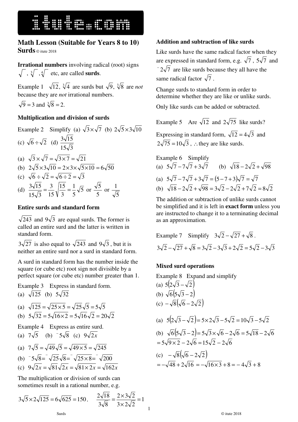# **HUILLET HOMES**

### **Math Lesson (Suitable for Years 8 to 10) Surds** © itute 2018

**Irrational numbers** involving radical (root) signs  $, \sqrt[3]{}, \sqrt[4]{}$  etc, are called **surds**.

Example 1  $\sqrt{12}$ ,  $\sqrt[3]{4}$  are surds but  $\sqrt{9}$ ,  $\sqrt[3]{8}$  are *not* because they are *not* irrational numbers.  $9 = 3$  and  $\sqrt[3]{8} = 2$ .

#### **Multiplication and division of surds**

Example 2 Simplify (a)  $\sqrt{3} \times \sqrt{7}$  (b)  $2\sqrt{5} \times 3\sqrt{10}$ (c)  $\sqrt{6} \div \sqrt{2}$  (d)  $15\sqrt{3}$  $3\sqrt{15}$ 

- (a)  $\sqrt{3} \times \sqrt{7} = \sqrt{3 \times 7} = \sqrt{21}$
- (b)  $2\sqrt{5} \times 3\sqrt{10} = 2 \times 3 \times \sqrt{5 \times 10} = 6\sqrt{50}$
- (c)  $\sqrt{6} \div \sqrt{2} = \sqrt{6 \div 2} = \sqrt{3}$
- (d)  $\frac{5\sqrt{15}}{2} = \frac{5}{15} \sqrt{\frac{15}{2}} = \frac{1}{5} \sqrt{5}$ 5 1 3 15 15 3  $15\sqrt{3}$  $\frac{3\sqrt{15}}{2} = \frac{3}{15} \sqrt{\frac{15}{2}} = \frac{1}{5} \sqrt{5}$  or 5  $\frac{5}{5}$  or 5 1

#### **Entire surds and standard form**

 $\sqrt{243}$  and  $9\sqrt{3}$  are equal surds. The former is called an entire surd and the latter is written in standard form.

 $3\sqrt{27}$  is also equal to  $\sqrt{243}$  and  $9\sqrt{3}$ , but it is neither an entire surd nor a surd in standard form.

A surd in standard form has the number inside the square (or cube etc) root sign not divisible by a perfect square (or cube etc) number greater than 1.

Example 3 Express in standard form.

(a) 
$$
\sqrt{125}
$$
 (b)  $5\sqrt{32}$   
\n(a)  $\sqrt{125} = \sqrt{25 \times 5} = \sqrt{25} \sqrt{5} = 5\sqrt{5}$   
\n(b)  $5\sqrt{32} = 5\sqrt{16 \times 2} = 5\sqrt{16} \sqrt{2} = 20\sqrt{2}$ 

Example 4 Express as entire surd.

(a)  $7\sqrt{5}$  (b)  $-5\sqrt{8}$  (c)  $9\sqrt{2x}$ 

(a) 
$$
7\sqrt{5} = \sqrt{49}\sqrt{5} = \sqrt{49 \times 5} = \sqrt{245}
$$
  
\n(b)  $5\sqrt{8} = \sqrt{25}\sqrt{8} = \sqrt{25 \times 8} = \sqrt{200}$   
\n(c)  $9\sqrt{2y} = \sqrt{81}\sqrt{2y} = \sqrt{81 \times 2y} = \sqrt{162}$ 

(c)  $9\sqrt{2x} = \sqrt{81}\sqrt{2x} = \sqrt{81} \times 2x = \sqrt{162x}$ 

The multiplication or division of surds can sometimes result in a rational number, e.g.

$$
3\sqrt{5} \times 2\sqrt{125} = 6\sqrt{625} = 150, \qquad \frac{2\sqrt{18}}{3\sqrt{8}} = \frac{2 \times 3\sqrt{2}}{3 \times 2\sqrt{2}} = 1
$$

#### **Addition and subtraction of like surds**

Like surds have the same radical factor when they are expressed in standard form, e.g.  $\sqrt{7}$ ,  $5\sqrt{7}$  and  $-2\sqrt{7}$  are like surds because they all have the same radical factor  $\sqrt{7}$ .

Change surds to standard form in order to determine whether they are like or unlike surds.

Only like surds can be added or subtracted.

Example 5 Are  $\sqrt{12}$  and  $2\sqrt{75}$  like surds?

Expressing in standard form,  $\sqrt{12} = 4\sqrt{3}$  and  $2\sqrt{75} = 10\sqrt{3}$ , ∴ they are like surds.

Example 6 Simplify  
\n(a) 
$$
5\sqrt{7} - 7\sqrt{7} + 3\sqrt{7}
$$
 (b)  $\sqrt{18} - 2\sqrt{2} + \sqrt{98}$   
\n(a)  $5\sqrt{7} - 7\sqrt{7} + 3\sqrt{7} = (5 - 7 + 3)\sqrt{7} = \sqrt{7}$   
\n(b)  $\sqrt{18} - 2\sqrt{2} + \sqrt{98} = 3\sqrt{2} - 2\sqrt{2} + 7\sqrt{2} = 8\sqrt{2}$ 

The addition or subtraction of unlike surds cannot be simplified and it is left in **exact form** unless you are instructed to change it to a terminating decimal as an approximation.

Example 7 Simplify 
$$
3\sqrt{2} - \sqrt{27} + \sqrt{8}
$$
.  
\n $3\sqrt{2} - \sqrt{27} + \sqrt{8} = 3\sqrt{2} - 3\sqrt{3} + 2\sqrt{2} = 5\sqrt{2} - 3\sqrt{3}$ 

#### **Mixed surd operations**

1

Example 8 Expand and simplify  
\n(a) 
$$
5(2\sqrt{3} - \sqrt{2})
$$
  
\n(b)  $\sqrt{6}(5\sqrt{3} - 2)$   
\n(c)  $-\sqrt{8}(\sqrt{6} - 2\sqrt{2})$   
\n(a)  $5(2\sqrt{3} - \sqrt{2}) = 5 \times 2\sqrt{3} - 5\sqrt{2} = 10\sqrt{3} - 5\sqrt{2}$   
\n(b)  $\sqrt{6}(5\sqrt{3} - 2) = 5\sqrt{3} \times \sqrt{6} - 2\sqrt{6} = 5\sqrt{18} - 2\sqrt{6}$   
\n $= 5\sqrt{9 \times 2} - 2\sqrt{6} = 15\sqrt{2} - 2\sqrt{6}$   
\n(c)  $-\sqrt{8}(\sqrt{6} - 2\sqrt{2})$   
\n $= -\sqrt{48} + 2\sqrt{16} = -\sqrt{16 \times 3} + 8 = -4\sqrt{3} + 8$ 

Surds © itute 2018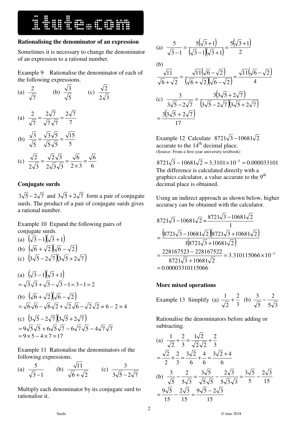**HUILLET SERVICE SERVICE SERVICE SERVICE SERVICE SERVICE SERVICE SERVICE SERVICE SERVICE SERVICE SERVICE SERVICE** 

#### **Rationalising the denominator of an expression**

Sometimes it is necessary to change the denominator of an expression to a rational number.

Example 9 Rationalise the denominator of each of the following expressions.

(a) 
$$
\frac{2}{\sqrt{7}}
$$
 (b)  $\frac{\sqrt{3}}{\sqrt{5}}$  (c)  $\frac{\sqrt{2}}{2\sqrt{3}}$   
\n(a)  $\frac{2}{\sqrt{7}} = \frac{2\sqrt{7}}{\sqrt{7}\sqrt{7}} = \frac{2\sqrt{7}}{7}$   
\n(b)  $\frac{\sqrt{3}}{\sqrt{5}} = \frac{\sqrt{3}\sqrt{5}}{\sqrt{5}\sqrt{5}} = \frac{\sqrt{15}}{5}$   
\n(c)  $\frac{\sqrt{2}}{2\sqrt{3}} = \frac{\sqrt{2}\sqrt{3}}{2\sqrt{3}\sqrt{3}} = \frac{\sqrt{6}}{2\times3} = \frac{\sqrt{6}}{6}$ 

#### **Conjugate surds**

 $3\sqrt{5} - 2\sqrt{7}$  and  $3\sqrt{5} + 2\sqrt{7}$  form a pair of conjugate surds. The product of a pair of conjugate surds gives a rational number.

Example 10 Expand the following pairs of conjugate surds.

(a) 
$$
(\sqrt{3} - 1)(\sqrt{3} + 1)
$$
  
\n(b)  $(\sqrt{6} + \sqrt{2})(\sqrt{6} - \sqrt{2})$   
\n(c)  $(3\sqrt{5} - 2\sqrt{7})(3\sqrt{5} + 2\sqrt{7})$   
\n(a)  $(\sqrt{3} - 1)(\sqrt{3} + 1)$   
\n $= \sqrt{3}\sqrt{3} + \sqrt{3} - \sqrt{3} - 1 = 3 - 1 = 2$   
\n(b)  $(\sqrt{6} + \sqrt{2})(\sqrt{6} - \sqrt{2})$   
\n $= \sqrt{6}\sqrt{6} - \sqrt{6}\sqrt{2} + \sqrt{2}\sqrt{6} - \sqrt{2}\sqrt{2} = 6 - 2 = 4$   
\n(c)  $(3\sqrt{5} - 2\sqrt{7})(3\sqrt{5} + 2\sqrt{7})$ 

$$
(c) \quad (3\sqrt{3}-2\sqrt{7})(3\sqrt{3}+2\sqrt{7})
$$
  
= 9\sqrt{5}\sqrt{5} + 6\sqrt{5}\sqrt{7} - 6\sqrt{7}\sqrt{5} - 4\sqrt{7}\sqrt{7}  
= 9 \times 5 - 4 \times 7 = 17

Example 11 Rationalise the denominators of the following expressions.

(a) 
$$
\frac{5}{\sqrt{3}-1}
$$
 (b)  $\frac{\sqrt{11}}{\sqrt{6}+\sqrt{2}}$  (c)  $\frac{3}{3\sqrt{5}-2\sqrt{7}}$ 

Multiply each denominator by its conjugate surd to rationalise it.

(a) 
$$
\frac{5}{\sqrt{3}-1} = \frac{5(\sqrt{3}+1)}{(\sqrt{3}-1)(\sqrt{3}+1)} = \frac{5(\sqrt{3}+1)}{2}
$$

(b)  
\n
$$
\frac{\sqrt{11}}{\sqrt{6} + \sqrt{2}} = \frac{\sqrt{11}(\sqrt{6} - \sqrt{2})}{(\sqrt{6} + \sqrt{2})(\sqrt{6} - \sqrt{2})} = \frac{\sqrt{11}(\sqrt{6} - \sqrt{2})}{4}
$$
\n(c)  
\n
$$
\frac{3}{3\sqrt{5} - 2\sqrt{7}} = \frac{3(3\sqrt{5} + 2\sqrt{7})}{(3\sqrt{5} - 2\sqrt{7})(3\sqrt{5} + 2\sqrt{7})}
$$
\n
$$
= \frac{3(3\sqrt{5} + 2\sqrt{7})}{17}
$$

Example 12 Calculate  $8721\sqrt{3} - 10681\sqrt{2}$ accurate to the  $14<sup>th</sup>$  decimal place. (Source: From a first year university textbook)

 $8721\sqrt{3} - 10681\sqrt{2} = 3.3101 \times 10^{-5} = 0.000033101$ The difference is calculated directly with a graphics calculator, a value accurate to the 9<sup>th</sup> decimal place is obtained.

Using an indirect approach as shown below, higher accuracy can be obtained with the calculator.

$$
8721\sqrt{3} - 10681\sqrt{2} = \frac{8721\sqrt{3} - 10681\sqrt{2}}{1}
$$
  
= 
$$
\frac{\left(8721\sqrt{3} - 10681\sqrt{2}\right)\left(8721\sqrt{3} + 10681\sqrt{2}\right)}{1\left(8721\sqrt{3} + 10681\sqrt{2}\right)}
$$
  
= 
$$
\frac{228167523 - 228167522}{8721\sqrt{3} + 10681\sqrt{2}} = 3.310115066 \times 10^{-5}
$$
  
= 0.00003310115066

#### **More mixed operations**

Example 13 Simplify (a) 3 2 2  $\frac{1}{2} + \frac{2}{3}$  (b)  $5\sqrt{3}$ 2 5  $\frac{3}{2} - \frac{2}{7}$ 

Rationalise the denominators before adding or subtracting.

(a) 
$$
\frac{1}{\sqrt{2}} + \frac{2}{3} = \frac{1\sqrt{2}}{\sqrt{2}\sqrt{2}} + \frac{2}{3}
$$

$$
= \frac{\sqrt{2}}{2} + \frac{2}{3} = \frac{3\sqrt{2}}{6} + \frac{4}{6} = \frac{3\sqrt{2} + 4}{6}
$$
(b) 
$$
\frac{3}{\sqrt{5}} - \frac{2}{5\sqrt{3}} = \frac{3\sqrt{5}}{\sqrt{5}\sqrt{5}} - \frac{2\sqrt{3}}{5\sqrt{3}\sqrt{3}} = \frac{3\sqrt{5}}{5} - \frac{2\sqrt{3}}{15}
$$

$$
= \frac{9\sqrt{5}}{15} - \frac{2\sqrt{3}}{15} = \frac{9\sqrt{5} - 2\sqrt{3}}{15}
$$